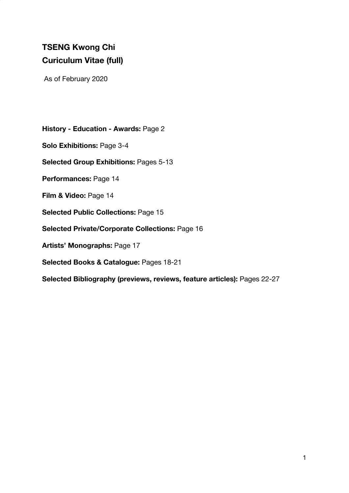# **TSENG Kwong Chi Curiculum Vitae (full)**

As of February 2020

**History - Education - Awards:** Page 2 **Solo Exhibitions:** Page 3-4 **Selected Group Exhibitions:** Pages 5-13 **Performances:** Page 14 **Film & Video:** Page 14 **Selected Public Collections: Page 15 Selected Private/Corporate Collections:** Page 16 **Artists' Monographs:** Page 17

**Selected Books & Catalogue:** Pages 18-21

**Selected Bibliography (previews, reviews, feature articles):** Pages 22-27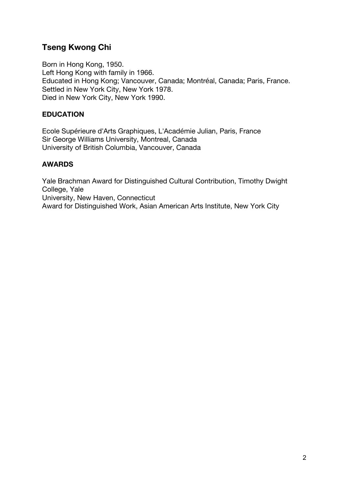# **Tseng Kwong Chi**

Born in Hong Kong, 1950. Left Hong Kong with family in 1966. Educated in Hong Kong; Vancouver, Canada; Montréal, Canada; Paris, France. Settled in New York City, New York 1978. Died in New York City, New York 1990.

#### **EDUCATION**

Ecole Supérieure d'Arts Graphiques, L'Académie Julian, Paris, France Sir George Williams University, Montreal, Canada University of British Columbia, Vancouver, Canada

#### **AWARDS**

Yale Brachman Award for Distinguished Cultural Contribution, Timothy Dwight College, Yale University, New Haven, Connecticut Award for Distinguished Work, Asian American Arts Institute, New York City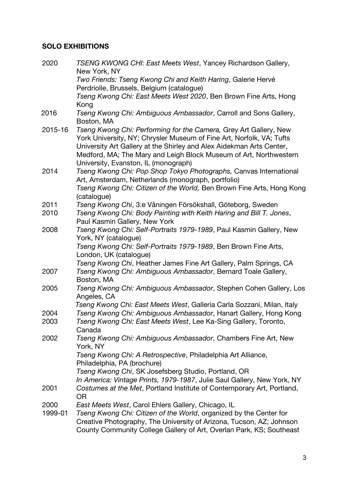# **SOLO EXHIBITIONS**

| 2020         | TSENG KWONG CHI: East Meets West, Yancey Richardson Gallery,<br>New York, NY                                                                                                                                                                                                                                                   |
|--------------|--------------------------------------------------------------------------------------------------------------------------------------------------------------------------------------------------------------------------------------------------------------------------------------------------------------------------------|
|              | Two Friends: Tseng Kwong Chi and Keith Haring, Galerie Hervé                                                                                                                                                                                                                                                                   |
|              | Perdriolle, Brussels, Belgium (catalogue)<br>Tseng Kwong Chi: East Meets West 2020, Ben Brown Fine Arts, Hong<br>Kong                                                                                                                                                                                                          |
| 2016         | Tseng Kwong Chi: Ambiguous Ambassador, Carroll and Sons Gallery,<br>Boston, MA                                                                                                                                                                                                                                                 |
| 2015-16      | Tseng Kwong Chi: Performing for the Camera, Grey Art Gallery, New<br>York University, NY; Chrysler Museum of Fine Art, Norfolk, VA; Tufts<br>University Art Gallery at the Shirley and Alex Aidekman Arts Center,<br>Medford, MA; The Mary and Leigh Block Museum of Art, Northwestern<br>University, Evanston, IL (monograph) |
| 2014         | Tseng Kwong Chi: Pop Shop Tokyo Photographs, Canvas International<br>Art, Amsterdam, Netherlands (monograph, portfolio)<br>Tseng Kwong Chi: Citizen of the World, Ben Brown Fine Arts, Hong Kong<br>(catalogue)                                                                                                                |
| 2011         | Tseng Kwong Chi, 3:e Våningen Försökshall, Göteborg, Sweden                                                                                                                                                                                                                                                                    |
| 2010         | Tseng Kwong Chi: Body Painting with Keith Haring and Bill T. Jones,<br>Paul Kasmin Gallery, New York                                                                                                                                                                                                                           |
| 2008         | Tseng Kwong Chi: Self-Portraits 1979-1989, Paul Kasmin Gallery, New<br>York, NY (catalogue)<br>Tseng Kwong Chi: Self-Portraits 1979-1989, Ben Brown Fine Arts,<br>London, UK (catalogue)<br>Tseng Kwong Chi, Heather James Fine Art Gallery, Palm Springs, CA                                                                  |
| 2007         | Tseng Kwong Chi: Ambiguous Ambassador, Bernard Toale Gallery,<br>Boston, MA                                                                                                                                                                                                                                                    |
| 2005         | Tseng Kwong Chi: Ambiguous Ambassador, Stephen Cohen Gallery, Los<br>Angeles, CA                                                                                                                                                                                                                                               |
|              | Tseng Kwong Chi: East Meets West, Galleria Carla Sozzani, Milan, Italy                                                                                                                                                                                                                                                         |
| 2004<br>2003 | Tseng Kwong Chi: Ambiguous Ambassador, Hanart Gallery, Hong Kong<br>Tseng Kwong Chi: East Meets West, Lee Ka-Sing Gallery, Toronto,<br>Canada                                                                                                                                                                                  |
| 2002         | Tseng Kwong Chi: Ambiguous Ambassador, Chambers Fine Art, New<br>York, NY                                                                                                                                                                                                                                                      |
|              | Tseng Kwong Chi: A Retrospective, Philadelphia Art Alliance,<br>Philadelphia, PA (brochure)<br>Tseng Kwong Chi, SK Josefsberg Studio, Portland, OR<br>In America: Vintage Prints, 1979-1987, Julie Saul Gallery, New York, NY                                                                                                  |
| 2001         | Costumes at the Met, Portland Institute of Contemporary Art, Portland,<br>0R                                                                                                                                                                                                                                                   |
| 2000         | East Meets West, Carol Ehlers Gallery, Chicago, IL                                                                                                                                                                                                                                                                             |
| 1999-01      | Tseng Kwong Chi: Citizen of the World, organized by the Center for<br>Creative Photography, The University of Arizona, Tucson, AZ; Johnson<br>County Community College Gallery of Art, Overlan Park, KS; Southeast                                                                                                             |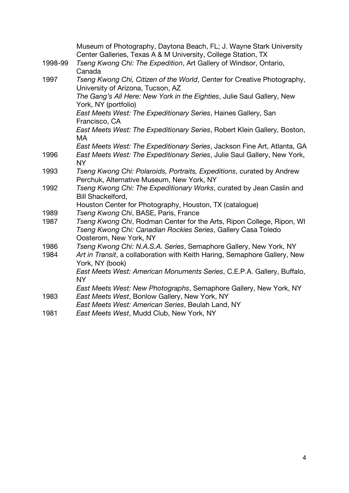|         | Museum of Photography, Daytona Beach, FL; J. Wayne Stark University             |
|---------|---------------------------------------------------------------------------------|
|         | Center Galleries, Texas A & M University, College Station, TX                   |
| 1998-99 | Tseng Kwong Chi: The Expedition, Art Gallery of Windsor, Ontario,               |
|         | Canada                                                                          |
| 1997    | Tseng Kwong Chi, Citizen of the World, Center for Creative Photography,         |
|         | University of Arizona, Tucson, AZ                                               |
|         | The Gang's All Here: New York in the Eighties, Julie Saul Gallery, New          |
|         | York, NY (portfolio)                                                            |
|         | East Meets West: The Expeditionary Series, Haines Gallery, San<br>Francisco, CA |
|         | East Meets West: The Expeditionary Series, Robert Klein Gallery, Boston,        |
|         | МA                                                                              |
|         | East Meets West: The Expeditionary Series, Jackson Fine Art, Atlanta, GA        |
| 1996    | East Meets West: The Expeditionary Series, Julie Saul Gallery, New York,        |
|         | <b>NY</b>                                                                       |
| 1993    | Tseng Kwong Chi: Polaroids, Portraits, Expeditions, curated by Andrew           |
|         | Perchuk, Alternative Museum, New York, NY                                       |
| 1992    | Tseng Kwong Chi: The Expeditionary Works, curated by Jean Caslin and            |
|         | Bill Shackelford,                                                               |
|         | Houston Center for Photography, Houston, TX (catalogue)                         |
| 1989    | Tseng Kwong Chi, BASE, Paris, France                                            |
| 1987    | Tseng Kwong Chi, Rodman Center for the Arts, Ripon College, Ripon, WI           |
|         | Tseng Kwong Chi: Canadian Rockies Series, Gallery Casa Toledo                   |
|         | Oosterom, New York, NY                                                          |
| 1986    | Tseng Kwong Chi: N.A.S.A. Series, Semaphore Gallery, New York, NY               |
| 1984    | Art in Transit, a collaboration with Keith Haring, Semaphore Gallery, New       |
|         | York, NY (book)                                                                 |
|         | East Meets West: American Monuments Series, C.E.P.A. Gallery, Buffalo,<br>NY.   |
|         | East Meets West: New Photographs, Semaphore Gallery, New York, NY               |
| 1983    | East Meets West, Bonlow Gallery, New York, NY                                   |
|         | East Meets West: American Series, Beulah Land, NY                               |
| 1981    | East Meets West, Mudd Club, New York, NY                                        |
|         |                                                                                 |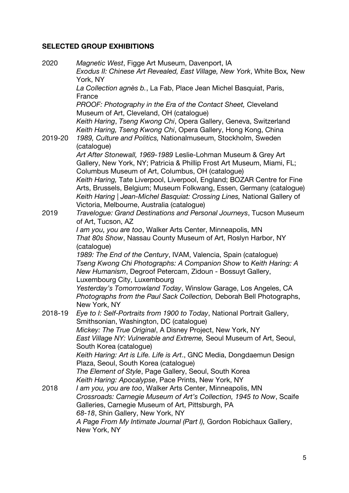# **SELECTED GROUP EXHIBITIONS**

| 2020    | Magnetic West, Figge Art Museum, Davenport, IA<br>Exodus II: Chinese Art Revealed, East Village, New York, White Box, New                        |
|---------|--------------------------------------------------------------------------------------------------------------------------------------------------|
|         | York, NY<br>La Collection agnès b., La Fab, Place Jean Michel Basquiat, Paris,<br>France                                                         |
|         | PROOF: Photography in the Era of the Contact Sheet, Cleveland<br>Museum of Art, Cleveland, OH (catalogue)                                        |
|         | Keith Haring, Tseng Kwong Chi, Opera Gallery, Geneva, Switzerland                                                                                |
|         | Keith Haring, Tseng Kwong Chi, Opera Gallery, Hong Kong, China                                                                                   |
| 2019-20 | 1989, Culture and Politics, Nationalmuseum, Stockholm, Sweden                                                                                    |
|         | (catalogue)<br>Art After Stonewall, 1969-1989 Leslie-Lohman Museum & Grey Art                                                                    |
|         | Gallery, New York, NY; Patricia & Phillip Frost Art Museum, Miami, FL;                                                                           |
|         | Columbus Museum of Art, Columbus, OH (catalogue)                                                                                                 |
|         | Keith Haring, Tate Liverpool, Liverpool, England; BOZAR Centre for Fine                                                                          |
|         | Arts, Brussels, Belgium; Museum Folkwang, Essen, Germany (catalogue)<br>Keith Haring   Jean-Michel Basquiat: Crossing Lines, National Gallery of |
|         | Victoria, Melbourne, Australia (catalogue)                                                                                                       |
| 2019    | Travelogue: Grand Destinations and Personal Journeys, Tucson Museum<br>of Art, Tucson, AZ                                                        |
|         | I am you, you are too, Walker Arts Center, Minneapolis, MN                                                                                       |
|         | That 80s Show, Nassau County Museum of Art, Roslyn Harbor, NY<br>(catalogue)                                                                     |
|         | 1989: The End of the Century, IVAM, Valencia, Spain (catalogue)                                                                                  |
|         | Tseng Kwong Chi Photographs: A Companion Show to Keith Haring: A                                                                                 |
|         | New Humanism, Degroof Petercam, Zidoun - Bossuyt Gallery,                                                                                        |
|         | Luxembourg City, Luxembourg                                                                                                                      |
|         | Yesterday's Tomorrowland Today, Winslow Garage, Los Angeles, CA                                                                                  |
|         | Photographs from the Paul Sack Collection, Deborah Bell Photographs,<br>New York, NY                                                             |
| 2018-19 | Eye to I: Self-Portraits from 1900 to Today, National Portrait Gallery,<br>Smithsonian, Washington, DC (catalogue)                               |
|         | Mickey: The True Original, A Disney Project, New York, NY                                                                                        |
|         | East Village NY: Vulnerable and Extreme, Seoul Museum of Art, Seoul,                                                                             |
|         | South Korea (catalogue)                                                                                                                          |
|         | Keith Haring: Art is Life. Life is Art., GNC Media, Dongdaemun Design                                                                            |
|         | Plaza, Seoul, South Korea (catalogue)                                                                                                            |
|         | The Element of Style, Page Gallery, Seoul, South Korea                                                                                           |
|         | Keith Haring: Apocalypse, Pace Prints, New York, NY                                                                                              |
| 2018    | I am you, you are too, Walker Arts Center, Minneapolis, MN                                                                                       |
|         | Crossroads: Carnegie Museum of Art's Collection, 1945 to Now, Scaife<br>Galleries, Carnegie Museum of Art, Pittsburgh, PA                        |
|         | 68-18, Shin Gallery, New York, NY                                                                                                                |
|         | A Page From My Intimate Journal (Part I), Gordon Robichaux Gallery,<br>New York, NY                                                              |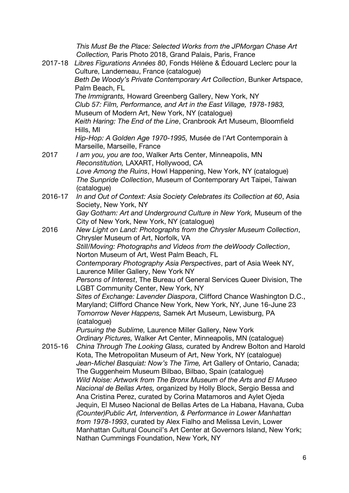|         | This Must Be the Place: Selected Works from the JPMorgan Chase Art                      |
|---------|-----------------------------------------------------------------------------------------|
|         | Collection, Paris Photo 2018, Grand Palais, Paris, France                               |
| 2017-18 | Libres Figurations Années 80, Fonds Hélène & Édouard Leclerc pour la                    |
|         | Culture, Landerneau, France (catalogue)                                                 |
|         | Beth De Woody's Private Contemporary Art Collection, Bunker Artspace,<br>Palm Beach, FL |
|         | The Immigrants, Howard Greenberg Gallery, New York, NY                                  |
|         | Club 57: Film, Performance, and Art in the East Village, 1978-1983,                     |
|         | Museum of Modern Art, New York, NY (catalogue)                                          |
|         | Keith Haring: The End of the Line, Cranbrook Art Museum, Bloomfield                     |
|         | Hills, MI                                                                               |
|         | Hip-Hop: A Golden Age 1970-1995, Musée de l'Art Contemporain à                          |
|         | Marseille, Marseille, France                                                            |
| 2017    | I am you, you are too, Walker Arts Center, Minneapolis, MN                              |
|         | Reconstitution, LAXART, Hollywood, CA                                                   |
|         | Love Among the Ruins, Howl Happening, New York, NY (catalogue)                          |
|         | The Sunpride Collection, Museum of Contemporary Art Taipei, Taiwan                      |
|         | (catalogue)                                                                             |
| 2016-17 | In and Out of Context: Asia Society Celebrates its Collection at 60, Asia               |
|         | Society, New York, NY                                                                   |
|         | Gay Gotham: Art and Underground Culture in New York, Museum of the                      |
|         | City of New York, New York, NY (catalogue)                                              |
| 2016    | New Light on Land: Photographs from the Chrysler Museum Collection,                     |
|         | Chrysler Museum of Art, Norfolk, VA                                                     |
|         | Still/Moving: Photographs and Videos from the deWoody Collection,                       |
|         | Norton Museum of Art, West Palm Beach, FL                                               |
|         | Contemporary Photography Asia Perspectives, part of Asia Week NY,                       |
|         | Laurence Miller Gallery, New York NY                                                    |
|         | Persons of Interest, The Bureau of General Services Queer Division, The                 |
|         | <b>LGBT Community Center, New York, NY</b>                                              |
|         | Sites of Exchange: Lavender Diaspora, Clifford Chance Washington D.C.,                  |
|         | Maryland; Clifford Chance New York, New York, NY, June 16-June 23                       |
|         | Tomorrow Never Happens, Samek Art Museum, Lewisburg, PA                                 |
|         | (catalogue)                                                                             |
|         | Pursuing the Sublime, Laurence Miller Gallery, New York                                 |
|         | Ordinary Pictures, Walker Art Center, Minneapolis, MN (catalogue)                       |
| 2015-16 | China Through The Looking Glass, curated by Andrew Bolton and Harold                    |
|         | Kota, The Metropolitan Museum of Art, New York, NY (catalogue)                          |
|         | Jean-Michel Basquiat: Now's The Time, Art Gallery of Ontario, Canada;                   |
|         | The Guggenheim Museum Bilbao, Bilbao, Spain (catalogue)                                 |
|         | Wild Noise: Artwork from The Bronx Museum of the Arts and El Museo                      |
|         | Nacional de Bellas Artes, organized by Holly Block, Sergio Bessa and                    |
|         | Ana Cristina Perez, curated by Corina Matamoros and Aylet Ojeda                         |
|         | Jequin, El Museo Nacional de Bellas Artes de La Habana, Havana, Cuba                    |
|         | (Counter) Public Art, Intervention, & Performance in Lower Manhattan                    |
|         | from 1978-1993, curated by Alex Fialho and Melissa Levin, Lower                         |
|         | Manhattan Cultural Council's Art Center at Governors Island, New York;                  |
|         | Nathan Cummings Foundation, New York, NY                                                |
|         |                                                                                         |
|         |                                                                                         |
|         |                                                                                         |
|         |                                                                                         |
|         |                                                                                         |
|         |                                                                                         |
|         |                                                                                         |
|         |                                                                                         |
|         |                                                                                         |
|         |                                                                                         |
|         |                                                                                         |
|         |                                                                                         |
|         |                                                                                         |
|         |                                                                                         |
|         |                                                                                         |
|         |                                                                                         |
|         |                                                                                         |
|         |                                                                                         |
|         |                                                                                         |
|         |                                                                                         |
|         |                                                                                         |
|         |                                                                                         |
|         |                                                                                         |
|         |                                                                                         |
|         |                                                                                         |
|         |                                                                                         |
|         |                                                                                         |
|         |                                                                                         |
|         |                                                                                         |
|         |                                                                                         |
|         |                                                                                         |
|         |                                                                                         |
|         |                                                                                         |
|         |                                                                                         |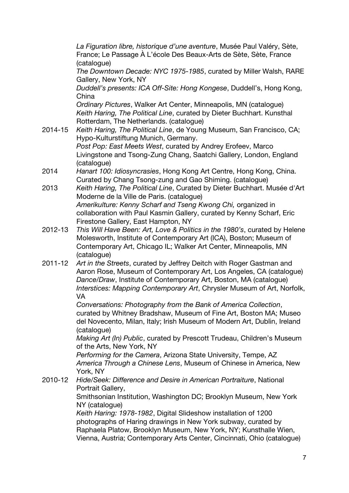*La Figuration libre, historique d'une aventure*, Musée Paul Valéry, Sète, France; Le Passage À L'école Des Beaux-Arts de Sète, Sète, France (catalogue)

*The Downtown Decade: NYC 1975-1985*, curated by Miller Walsh, RARE Gallery, New York, NY

*Duddell's presents: ICA Off-Site: Hong Kongese*, Duddell's, Hong Kong, China

*Ordinary Pictures*, Walker Art Center, Minneapolis, MN (catalogue) *Keith Haring, The Political Line*, curated by Dieter Buchhart. Kunsthal Rotterdam, The Netherlands. (catalogue)

- 2014-15 *Keith Haring, The Political Line*, de Young Museum, San Francisco, CA; Hypo-Kulturstiftung Munich, Germany. *Post Pop: East Meets West*, curated by Andrey Erofeev, Marco Livingstone and Tsong-Zung Chang, Saatchi Gallery, London, England (catalogue)
- 2014 *Hanart 100: Idiosyncrasies*, Hong Kong Art Centre, Hong Kong, China. Curated by Chang Tsong-zung and Gao Shiming. (catalogue)
- 2013 *Keith Haring, The Political Line*, Curated by Dieter Buchhart. Musée d'Art Moderne de la Ville de Paris. (catalogue) *Amerikulture: Kenny Scharf and Tseng Kwong Chi,* organized in collaboration with Paul Kasmin Gallery, curated by Kenny Scharf, Eric Firestone Gallery, East Hampton, NY
- 2012-13 *This Will Have Been: Art, Love & Politics in the 1980's*, curated by Helene Molesworth, Institute of Contemporary Art (ICA), Boston; Museum of Contemporary Art, Chicago IL; Walker Art Center, Minneapolis, MN (catalogue)
- 2011-12 *Art in the Streets*, curated by Jeffrey Deitch with Roger Gastman and Aaron Rose, Museum of Contemporary Art, Los Angeles, CA (catalogue) *Dance/Draw*, Institute of Contemporary Art, Boston, MA (catalogue) *Interstices: Mapping Contemporary Art*, Chrysler Museum of Art, Norfolk, VA

*Conversations: Photography from the Bank of America Collection*, curated by Whitney Bradshaw, Museum of Fine Art, Boston MA; Museo del Novecento, Milan, Italy; Irish Museum of Modern Art, Dublin, Ireland (catalogue)

*Making Art (In) Public*, curated by Prescott Trudeau, Children's Museum of the Arts, New York, NY

*Performing for the Camera*, Arizona State University, Tempe, AZ *America Through a Chinese Lens*, Museum of Chinese in America, New York, NY

2010-12 *Hide/Seek: Difference and Desire in American Portraiture*, National Portrait Gallery,

Smithsonian Institution, Washington DC; Brooklyn Museum, New York NY (catalogue)

*Keith Haring: 1978-1982*, Digital Slideshow installation of 1200 photographs of Haring drawings in New York subway, curated by Raphaela Platow, Brooklyn Museum, New York, NY; Kunsthalle Wien, Vienna, Austria; Contemporary Arts Center, Cincinnati, Ohio (catalogue)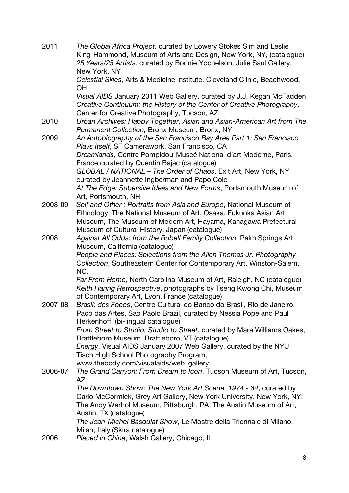| 2011    | The Global Africa Project, curated by Lowery Stokes Sim and Leslie<br>King-Hammond, Museum of Arts and Design, New York, NY, (catalogue)<br>25 Years/25 Artists, curated by Bonnie Yochelson, Julie Saul Gallery,<br>New York, NY |
|---------|-----------------------------------------------------------------------------------------------------------------------------------------------------------------------------------------------------------------------------------|
|         | Celestial Skies, Arts & Medicine Institute, Cleveland Clinic, Beachwood,<br>OН                                                                                                                                                    |
|         | Visual AIDS January 2011 Web Gallery, curated by J.J. Kegan McFadden<br>Creative Continuum: the History of the Center of Creative Photography,<br>Center for Creative Photography, Tucson, AZ                                     |
| 2010    | Urban Archives: Happy Together, Asian and Asian-American Art from The<br>Permanent Collection, Bronx Museum, Bronx, NY                                                                                                            |
| 2009    | An Autobiography of the San Francisco Bay Area Part 1: San Francisco<br>Plays Itself, SF Camerawork, San Francisco, CA                                                                                                            |
|         | Dreamlands, Centre Pompidou-Museé National d'art Moderne, Paris,<br>France curated by Quentin Bajac (catalogue)                                                                                                                   |
|         | GLOBAL / NATIONAL - The Order of Chaos, Exit Art, New York, NY<br>curated by Jeannette Ingberman and Papo Colo                                                                                                                    |
|         | At The Edge: Subersive Ideas and New Forms, Portsmouth Museum of<br>Art, Portsmouth, NH                                                                                                                                           |
| 2008-09 | Self and Other: Portraits from Asia and Europe, National Museum of                                                                                                                                                                |
|         | Ethnology, The National Museum of Art, Osaka, Fukuoka Asian Art<br>Museum, The Museum of Modern Art, Hayama, Kanagawa Prefectural                                                                                                 |
|         | Museum of Cultural History, Japan (catalogue)                                                                                                                                                                                     |
| 2008    | Against All Odds: from the Rubell Family Collection, Palm Springs Art                                                                                                                                                             |
|         | Museum, California (catalogue)                                                                                                                                                                                                    |
|         | People and Places: Selections from the Allen Thomas Jr. Photography<br>Collection, Southeastern Center for Contemporary Art, Winston-Salem,                                                                                       |
|         | NC.<br>Far From Home, North Carolina Museum of Art, Raleigh, NC (catalogue)                                                                                                                                                       |
|         | Keith Haring Retrospective, photographs by Tseng Kwong Chi, Museum<br>of Contemporary Art, Lyon, France (catalogue)                                                                                                               |
| 2007-08 | Brasil: des Focos, Centro Cultural do Banco do Brasil, Rio de Janeiro,                                                                                                                                                            |
|         | Paço das Artes, Sao Paolo Brazil, curated by Nessia Pope and Paul<br>Herkenhoff, (bi-lingual catalogue)                                                                                                                           |
|         | From Street to Studio, Studio to Street, curated by Mara Williams Oakes,<br>Brattleboro Museum, Brattleboro, VT (catalogue)                                                                                                       |
|         | Energy, Visual AIDS January 2007 Web Gallery, curated by the NYU<br>Tisch High School Photography Program,                                                                                                                        |
|         | www.thebody.com/visualaids/web_gallery                                                                                                                                                                                            |
| 2006-07 | The Grand Canyon: From Dream to Icon, Tucson Museum of Art, Tucson,<br>AZ                                                                                                                                                         |
|         | The Downtown Show: The New York Art Scene, 1974 - 84, curated by                                                                                                                                                                  |
|         | Carlo McCormick, Grey Art Gallery, New York University, New York, NY;                                                                                                                                                             |
|         | The Andy Warhol Museum, Pittsburgh, PA; The Austin Museum of Art,<br>Austin, TX (catalogue)                                                                                                                                       |
|         | The Jean-Michel Basquiat Show, Le Mostre della Triennale di Milano,                                                                                                                                                               |
|         | Milan, Italy (Skira catalogue)                                                                                                                                                                                                    |
| 2006    | Placed in China, Walsh Gallery, Chicago, IL                                                                                                                                                                                       |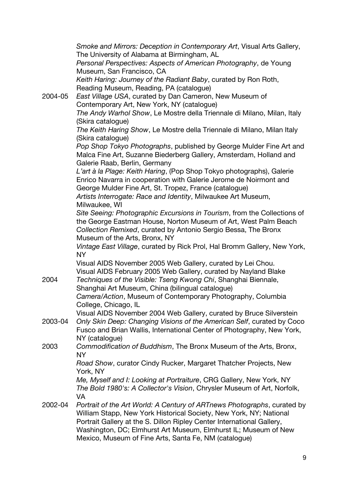|         | Smoke and Mirrors: Deception in Contemporary Art, Visual Arts Gallery,<br>The University of Alabama at Birmingham, AL |
|---------|-----------------------------------------------------------------------------------------------------------------------|
|         | Personal Perspectives: Aspects of American Photography, de Young                                                      |
|         | Museum, San Francisco, CA<br>Keith Haring: Journey of the Radiant Baby, curated by Ron Roth,                          |
|         | Reading Museum, Reading, PA (catalogue)                                                                               |
| 2004-05 | East Village USA, curated by Dan Cameron, New Museum of                                                               |
|         | Contemporary Art, New York, NY (catalogue)                                                                            |
|         | The Andy Warhol Show, Le Mostre della Triennale di Milano, Milan, Italy<br>(Skira catalogue)                          |
|         | The Keith Haring Show, Le Mostre della Triennale di Milano, Milan Italy<br>(Skira catalogue)                          |
|         | Pop Shop Tokyo Photographs, published by George Mulder Fine Art and                                                   |
|         | Malca Fine Art, Suzanne Biederberg Gallery, Amsterdam, Holland and<br>Galerie Raab, Berlin, Germany                   |
|         | L'art à la Plage: Keith Haring, (Pop Shop Tokyo photographs), Galerie                                                 |
|         | Enrico Navarra in cooperation with Galerie Jerome de Noirmont and                                                     |
|         | George Mulder Fine Art, St. Tropez, France (catalogue)                                                                |
|         | Artists Interrogate: Race and Identity, Milwaukee Art Museum,                                                         |
|         | Milwaukee, WI                                                                                                         |
|         | Site Seeing: Photographic Excursions in Tourism, from the Collections of                                              |
|         | the George Eastman House, Norton Museum of Art, West Palm Beach                                                       |
|         | Collection Remixed, curated by Antonio Sergio Bessa, The Bronx                                                        |
|         | Museum of the Arts, Bronx, NY                                                                                         |
|         | Vintage East Village, curated by Rick Prol, Hal Bromm Gallery, New York,<br><b>NY</b>                                 |
|         | Visual AIDS November 2005 Web Gallery, curated by Lei Chou.                                                           |
|         | Visual AIDS February 2005 Web Gallery, curated by Nayland Blake                                                       |
| 2004    | Techniques of the Visible: Tseng Kwong Chi, Shanghai Biennale,                                                        |
|         | Shanghai Art Museum, China (bilingual catalogue)                                                                      |
|         | Camera/Action, Museum of Contemporary Photography, Columbia<br>College, Chicago, IL                                   |
|         | Visual AIDS November 2004 Web Gallery, curated by Bruce Silverstein                                                   |
| 2003-04 | Only Skin Deep: Changing Visions of the American Self, curated by Coco                                                |
|         | Fusco and Brian Wallis, International Center of Photography, New York,<br>NY (catalogue)                              |
| 2003    | Commodification of Buddhism, The Bronx Museum of the Arts, Bronx,                                                     |
|         | NY.                                                                                                                   |
|         | Road Show, curator Cindy Rucker, Margaret Thatcher Projects, New<br>York, NY                                          |
|         | Me, Myself and I: Looking at Portraiture, CRG Gallery, New York, NY                                                   |
|         | The Bold 1980's: A Collector's Vision, Chrysler Museum of Art, Norfolk,                                               |
|         | VA                                                                                                                    |
| 2002-04 | Portrait of the Art World: A Century of ARTnews Photographs, curated by                                               |
|         | William Stapp, New York Historical Society, New York, NY; National                                                    |
|         | Portrait Gallery at the S. Dillon Ripley Center International Gallery,                                                |
|         | Washington, DC; Elmhurst Art Museum, Elmhurst IL; Museum of New                                                       |
|         | Mexico, Museum of Fine Arts, Santa Fe, NM (catalogue)                                                                 |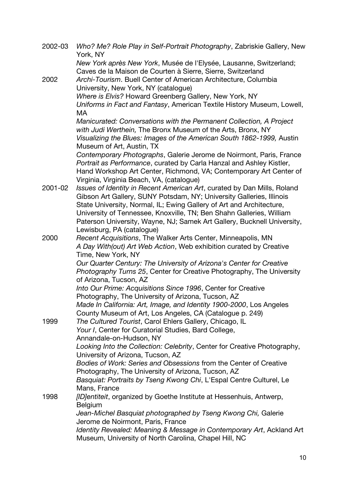| 2002-03 | Who? Me? Role Play in Self-Portrait Photography, Zabriskie Gallery, New<br>York, NY                           |
|---------|---------------------------------------------------------------------------------------------------------------|
|         | New York après New York, Musée de l'Elysée, Lausanne, Switzerland;                                            |
|         | Caves de la Maison de Courten à Sierre, Sierre, Switzerland                                                   |
| 2002    | Archi-Tourism. Buell Center of American Architecture, Columbia                                                |
|         | University, New York, NY (catalogue)                                                                          |
|         | Where is Elvis? Howard Greenberg Gallery, New York, NY                                                        |
|         | Uniforms in Fact and Fantasy, American Textile History Museum, Lowell,                                        |
|         | МA                                                                                                            |
|         | Manicurated: Conversations with the Permanent Collection, A Project                                           |
|         | with Judi Werthein, The Bronx Museum of the Arts, Bronx, NY                                                   |
|         | Visualizing the Blues: Images of the American South 1862-1999, Austin                                         |
|         | Museum of Art, Austin, TX                                                                                     |
|         | Contemporary Photographs, Galerie Jerome de Noirmont, Paris, France                                           |
|         | Portrait as Performance, curated by Carla Hanzal and Ashley Kistler,                                          |
|         | Hand Workshop Art Center, Richmond, VA; Contemporary Art Center of                                            |
|         | Virginia, Virginia Beach, VA, (catalogue)                                                                     |
| 2001-02 | Issues of Identity in Recent American Art, curated by Dan Mills, Roland                                       |
|         | Gibson Art Gallery, SUNY Potsdam, NY; University Galleries, Illinois                                          |
|         | State University, Normal, IL; Ewing Gallery of Art and Architecture,                                          |
|         | University of Tennessee, Knoxville, TN; Ben Shahn Galleries, William                                          |
|         | Paterson University, Wayne, NJ; Samek Art Gallery, Bucknell University,                                       |
|         | Lewisburg, PA (catalogue)                                                                                     |
| 2000    | Recent Acquisitions, The Walker Arts Center, Minneapolis, MN                                                  |
|         | A Day With(out) Art Web Action, Web exhibition curated by Creative                                            |
|         | Time, New York, NY                                                                                            |
|         | Our Quarter Century: The University of Arizona's Center for Creative                                          |
|         | Photography Turns 25, Center for Creative Photography, The University                                         |
|         | of Arizona, Tucson, AZ                                                                                        |
|         | Into Our Prime: Acquisitions Since 1996, Center for Creative                                                  |
|         | Photography, The University of Arizona, Tucson, AZ                                                            |
|         | Made In California: Art, Image, and Identity 1900-2000, Los Angeles                                           |
|         | County Museum of Art, Los Angeles, CA (Catalogue p. 249)                                                      |
| 1999    | The Cultured Tourist, Carol Ehlers Gallery, Chicago, IL                                                       |
|         | Your I, Center for Curatorial Studies, Bard College,                                                          |
|         | Annandale-on-Hudson, NY                                                                                       |
|         | Looking Into the Collection: Celebrity, Center for Creative Photography,<br>University of Arizona, Tucson, AZ |
|         | Bodies of Work: Series and Obsessions from the Center of Creative                                             |
|         | Photography, The University of Arizona, Tucson, AZ                                                            |
|         | Basquiat: Portraits by Tseng Kwong Chi, L'Espal Centre Culturel, Le                                           |
|         | Mans, France                                                                                                  |
| 1998    | [ID] entiteit, organized by Goethe Institute at Hessenhuis, Antwerp,                                          |
|         | Belgium                                                                                                       |
|         | Jean-Michel Basquiat photographed by Tseng Kwong Chi, Galerie                                                 |
|         | Jerome de Noirmont, Paris, France                                                                             |
|         | Identity Revealed: Meaning & Message in Contemporary Art, Ackland Art                                         |
|         | Museum, University of North Carolina, Chapel Hill, NC                                                         |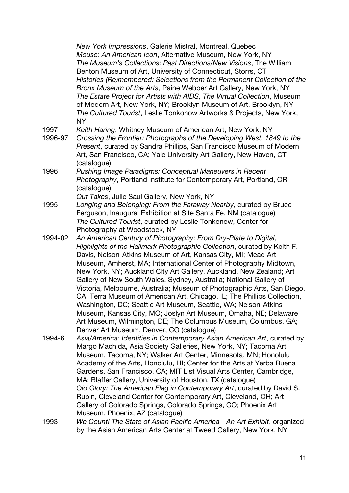*New York Impressions*, Galerie Mistral, Montreal, Quebec *Mouse: An American Icon*, Alternative Museum, New York, NY *The Museum's Collections: Past Directions/New Visions*, The William Benton Museum of Art, University of Connecticut, Storrs, CT *Histories (Re)membered: Selections from the Permanent Collection of the Bronx Museum of the Arts*, Paine Webber Art Gallery, New York, NY *The Estate Project for Artists with AIDS, The Virtual Collection*, Museum of Modern Art, New York, NY; Brooklyn Museum of Art, Brooklyn, NY *The Cultured Tourist*, Leslie Tonkonow Artworks & Projects, New York, NY

- 1997 *Keith Haring*, Whitney Museum of American Art, New York, NY
- 1996-97 *Crossing the Frontier: Photographs of the Developing West, 1849 to the Present*, curated by Sandra Phillips, San Francisco Museum of Modern Art, San Francisco, CA; Yale University Art Gallery, New Haven, CT (catalogue)
- 1996 *Pushing Image Paradigms: Conceptual Maneuvers in Recent Photography*, Portland Institute for Contemporary Art, Portland, OR (catalogue)
- *Out Takes*, Julie Saul Gallery, New York, NY 1995 *Longing and Belonging: From the Faraway Nearby*, curated by Bruce Ferguson, Inaugural Exhibition at Site Santa Fe, NM (catalogue) *The Cultured Tourist*, curated by Leslie Tonkonow, Center for Photography at Woodstock, NY
- 1994-02 *An American Century of Photography: From Dry-Plate to Digital, Highlights of the Hallmark Photographic Collection*, curated by Keith F. Davis, Nelson-Atkins Museum of Art, Kansas City, MI; Mead Art Museum, Amherst, MA; International Center of Photography Midtown, New York, NY; Auckland City Art Gallery, Auckland, New Zealand; Art Gallery of New South Wales, Sydney, Australia; National Gallery of Victoria, Melbourne, Australia; Museum of Photographic Arts, San Diego, CA; Terra Museum of American Art, Chicago, IL; The Phillips Collection, Washington, DC; Seattle Art Museum, Seattle, WA; Nelson-Atkins Museum, Kansas City, MO; Joslyn Art Museum, Omaha, NE; Delaware Art Museum, Wilmington, DE; The Columbus Museum, Columbus, GA; Denver Art Museum, Denver, CO (catalogue)
- 1994-6 *Asia/America: Identities in Contemporary Asian American Art*, curated by Margo Machida, Asia Society Galleries, New York, NY; Tacoma Art Museum, Tacoma, NY; Walker Art Center, Minnesota, MN; Honolulu Academy of the Arts, Honolulu, HI; Center for the Arts at Yerba Buena Gardens, San Francisco, CA; MIT List Visual Arts Center, Cambridge, MA; Blaffer Gallery, University of Houston, TX (catalogue) *Old Glory: The American Flag in Contemporary Art*, curated by David S. Rubin, Cleveland Center for Contemporary Art, Cleveland, OH; Art Gallery of Colorado Springs, Colorado Springs, CO; Phoenix Art Museum, Phoenix, AZ (catalogue)
- 1993 *We Count! The State of Asian Pacific America An Art Exhibit*, organized by the Asian American Arts Center at Tweed Gallery, New York, NY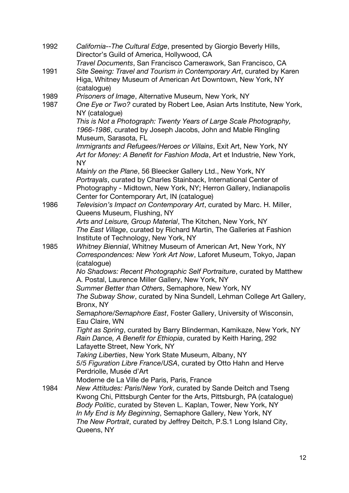| 1992 | California--The Cultural Edge, presented by Giorgio Beverly Hills,<br>Director's Guild of America, Hollywood, CA |
|------|------------------------------------------------------------------------------------------------------------------|
|      | Travel Documents, San Francisco Camerawork, San Francisco, CA                                                    |
| 1991 | Site Seeing: Travel and Tourism in Contemporary Art, curated by Karen                                            |
|      | Higa, Whitney Museum of American Art Downtown, New York, NY                                                      |
|      | (catalogue)                                                                                                      |
| 1989 | Prisoners of Image, Alternative Museum, New York, NY                                                             |
| 1987 | One Eye or Two? curated by Robert Lee, Asian Arts Institute, New York,                                           |
|      | NY (catalogue)                                                                                                   |
|      | This is Not a Photograph: Twenty Years of Large Scale Photography,                                               |
|      | 1966-1986, curated by Joseph Jacobs, John and Mable Ringling                                                     |
|      | Museum, Sarasota, FL                                                                                             |
|      | Immigrants and Refugees/Heroes or Villains, Exit Art, New York, NY                                               |
|      | Art for Money: A Benefit for Fashion Moda, Art et Industrie, New York,                                           |
|      | <b>NY</b>                                                                                                        |
|      | Mainly on the Plane, 56 Bleecker Gallery Ltd., New York, NY                                                      |
|      | Portrayals, curated by Charles Stainback, International Center of                                                |
|      | Photography - Midtown, New York, NY; Herron Gallery, Indianapolis                                                |
|      | Center for Contemporary Art, IN (catalogue)                                                                      |
| 1986 | Television's Impact on Contemporary Art, curated by Marc. H. Miller,                                             |
|      | Queens Museum, Flushing, NY                                                                                      |
|      | Arts and Leisure, Group Material, The Kitchen, New York, NY                                                      |
|      | The East Village, curated by Richard Martin, The Galleries at Fashion                                            |
|      | Institute of Technology, New York, NY                                                                            |
| 1985 | Whitney Biennial, Whitney Museum of American Art, New York, NY                                                   |
|      | Correspondences: New York Art Now, Laforet Museum, Tokyo, Japan                                                  |
|      | (catalogue)                                                                                                      |
|      | No Shadows: Recent Photographic Self Portraiture, curated by Matthew                                             |
|      | A. Postal, Laurence Miller Gallery, New York, NY                                                                 |
|      | Summer Better than Others, Semaphore, New York, NY                                                               |
|      | The Subway Show, curated by Nina Sundell, Lehman College Art Gallery,                                            |
|      | Bronx, NY                                                                                                        |
|      | Semaphore/Semaphore East, Foster Gallery, University of Wisconsin,                                               |
|      | Eau Claire, WN                                                                                                   |
|      | Tight as Spring, curated by Barry Blinderman, Kamikaze, New York, NY                                             |
|      | Rain Dance, A Benefit for Ethiopia, curated by Keith Haring, 292                                                 |
|      | Lafayette Street, New York, NY                                                                                   |
|      | Taking Liberties, New York State Museum, Albany, NY                                                              |
|      | 5/5 Figuration Libre France/USA, curated by Otto Hahn and Herve<br>Perdriolle, Musée d'Art                       |
|      | Moderne de La Ville de Paris, Paris, France                                                                      |
| 1984 | New Attitudes: Paris/New York, curated by Sande Deitch and Tseng                                                 |
|      | Kwong Chi, Pittsburgh Center for the Arts, Pittsburgh, PA (catalogue)                                            |
|      | Body Politic, curated by Steven L. Kaplan, Tower, New York, NY                                                   |
|      | In My End is My Beginning, Semaphore Gallery, New York, NY                                                       |
|      | The New Portrait, curated by Jeffrey Deitch, P.S.1 Long Island City,                                             |
|      | Queens, NY                                                                                                       |
|      |                                                                                                                  |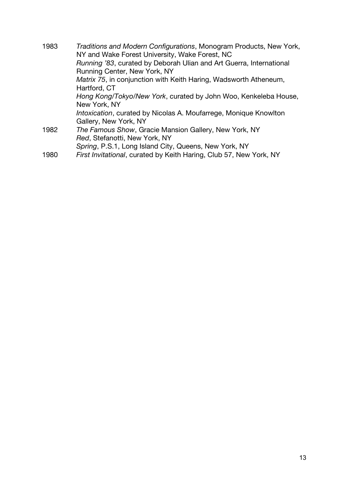1983 *Traditions and Modern Configurations*, Monogram Products, New York, NY and Wake Forest University, Wake Forest, NC *Running '83*, curated by Deborah Ulian and Art Guerra, International Running Center, New York, NY *Matrix 75*, in conjunction with Keith Haring, Wadsworth Atheneum, Hartford, CT *Hong Kong/Tokyo/New York*, curated by John Woo, Kenkeleba House, New York, NY *Intoxication*, curated by Nicolas A. Moufarrege, Monique Knowlton Gallery, New York, NY 1982 *The Famous Show*, Gracie Mansion Gallery, New York, NY *Red*, Stefanotti, New York, NY *Spring*, P.S.1, Long Island City, Queens, New York, NY 1980 *First Invitational*, curated by Keith Haring, Club 57, New York, NY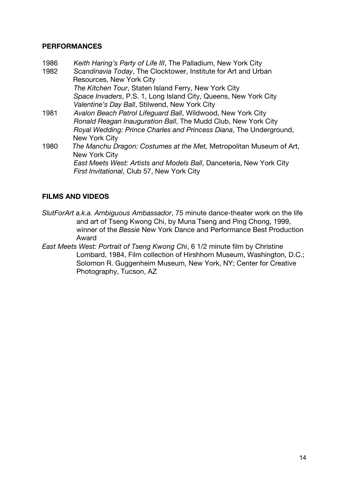#### **PERFORMANCES**

- 1986 *Keith Haring's Party of Life III*, The Palladium, New York City
- 1982 *Scandinavia Today*, The Clocktower, Institute for Art and Urban Resources, New York City *The Kitchen Tour*, Staten Island Ferry, New York City *Space Invaders*, P.S. 1, Long Island City, Queens, New York City *Valentine's Day Ball*, Stilwend, New York City 1981 *Avalon Beach Patrol Lifeguard Ball*, Wildwood, New York City *Ronald Reagan Inauguration Ball*, The Mudd Club, New York City *Royal Wedding: Prince Charles and Princess Diana*, The Underground, New York City 1980 *The Manchu Dragon: Costumes at the Met,* Metropolitan Museum of Art, New York City *East Meets West: Artists and Models Ball*, Danceteria, New York City *First Invitational*, Club 57, New York City

#### **FILMS AND VIDEOS**

- *SlutForArt a.k.a. Ambiguous Ambassador*, 75 minute dance-theater work on the life and art of Tseng Kwong Chi, by Muna Tseng and Ping Chong, 1999, winner of the *Bessie* New York Dance and Performance Best Production Award
- *East Meets West: Portrait of Tseng Kwong Chi*, 6 1/2 minute film by Christine Lombard, 1984, Film collection of Hirshhorn Museum, Washington, D.C.; Solomon R. Guggenheim Museum, New York, NY; Center for Creative Photography, Tucson, AZ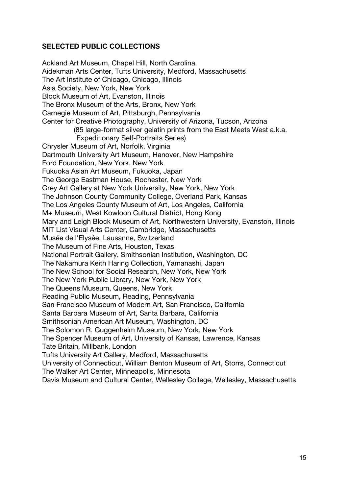#### **SELECTED PUBLIC COLLECTIONS**

Ackland Art Museum, Chapel Hill, North Carolina Aidekman Arts Center, Tufts University, Medford, Massachusetts The Art Institute of Chicago, Chicago, Illinois Asia Society, New York, New York Block Museum of Art, Evanston, Illinois The Bronx Museum of the Arts, Bronx, New York Carnegie Museum of Art, Pittsburgh, Pennsylvania Center for Creative Photography, University of Arizona, Tucson, Arizona (85 large-format silver gelatin prints from the East Meets West a.k.a. Expeditionary Self-Portraits Series) Chrysler Museum of Art, Norfolk, Virginia Dartmouth University Art Museum, Hanover, New Hampshire Ford Foundation, New York, New York Fukuoka Asian Art Museum, Fukuoka, Japan The George Eastman House, Rochester, New York Grey Art Gallery at New York University, New York, New York The Johnson County Community College, Overland Park, Kansas The Los Angeles County Museum of Art, Los Angeles, California M+ Museum, West Kowloon Cultural District, Hong Kong Mary and Leigh Block Museum of Art, Northwestern University, Evanston, Illinois MIT List Visual Arts Center, Cambridge, Massachusetts Musée de l'Elysée, Lausanne, Switzerland The Museum of Fine Arts, Houston, Texas National Portrait Gallery, Smithsonian Institution, Washington, DC The Nakamura Keith Haring Collection, Yamanashi, Japan The New School for Social Research, New York, New York The New York Public Library, New York, New York The Queens Museum, Queens, New York Reading Public Museum, Reading, Pennsylvania San Francisco Museum of Modern Art, San Francisco, California Santa Barbara Museum of Art, Santa Barbara, California Smithsonian American Art Museum, Washington, DC The Solomon R. Guggenheim Museum, New York, New York The Spencer Museum of Art, University of Kansas, Lawrence, Kansas Tate Britain, Millbank, London Tufts University Art Gallery, Medford, Massachusetts University of Connecticut, William Benton Museum of Art, Storrs, Connecticut The Walker Art Center, Minneapolis, Minnesota Davis Museum and Cultural Center, Wellesley College, Wellesley, Massachusetts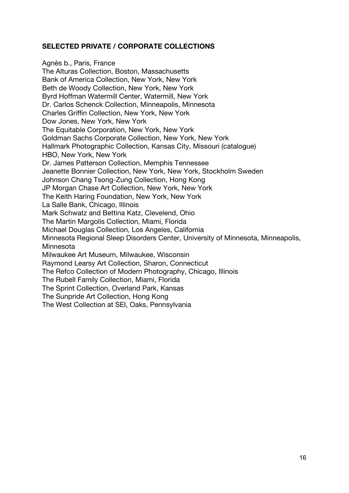#### **SELECTED PRIVATE / CORPORATE COLLECTIONS**

Agnès b., Paris, France The Alturas Collection, Boston, Massachusetts Bank of America Collection, New York, New York Beth de Woody Collection, New York, New York Byrd Hoffman Watermill Center, Watermill, New York Dr. Carlos Schenck Collection, Minneapolis, Minnesota Charles Griffin Collection, New York, New York Dow Jones, New York, New York The Equitable Corporation, New York, New York Goldman Sachs Corporate Collection, New York, New York Hallmark Photographic Collection, Kansas City, Missouri (catalogue) HBO, New York, New York Dr. James Patterson Collection, Memphis Tennessee Jeanette Bonnier Collection, New York, New York, Stockholm Sweden Johnson Chang Tsong-Zung Collection, Hong Kong JP Morgan Chase Art Collection, New York, New York The Keith Haring Foundation, New York, New York La Salle Bank, Chicago, Illinois Mark Schwatz and Bettina Katz, Clevelend, Ohio The Martin Margolis Collection, Miami, Florida Michael Douglas Collection, Los Angeles, California Minnesota Regional Sleep Disorders Center, University of Minnesota, Minneapolis, Minnesota Milwaukee Art Museum, Milwaukee, Wisconsin Raymond Learsy Art Collection, Sharon, Connecticut The Refco Collection of Modern Photography, Chicago, Illinois The Rubell Family Collection, Miami, Florida The Sprint Collection, Overland Park, Kansas The Sunpride Art Collection, Hong Kong The West Collection at SEI, Oaks, Pennsylvania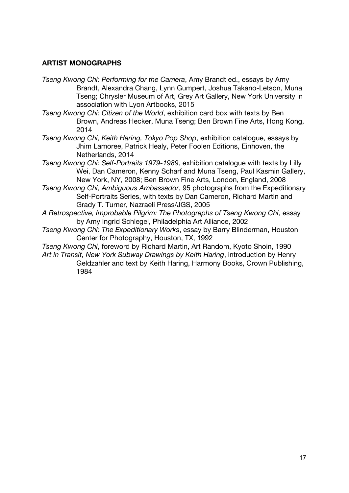#### **ARTIST MONOGRAPHS**

- *Tseng Kwong Chi: Performing for the Camera*, Amy Brandt ed., essays by Amy Brandt, Alexandra Chang, Lynn Gumpert, Joshua Takano-Letson, Muna Tseng; Chrysler Museum of Art, Grey Art Gallery, New York University in association with Lyon Artbooks, 2015
- *Tseng Kwong Chi: Citizen of the World*, exhibition card box with texts by Ben Brown, Andreas Hecker, Muna Tseng; Ben Brown Fine Arts, Hong Kong, 2014
- *Tseng Kwong Chi, Keith Haring, Tokyo Pop Shop*, exhibition catalogue, essays by Jhim Lamoree, Patrick Healy, Peter Foolen Editions, Einhoven, the Netherlands, 2014
- *Tseng Kwong Chi: Self-Portraits 1979-1989*, exhibition catalogue with texts by Lilly Wei, Dan Cameron, Kenny Scharf and Muna Tseng, Paul Kasmin Gallery, New York, NY, 2008; Ben Brown Fine Arts, London, England, 2008
- *Tseng Kwong Chi, Ambiguous Ambassador*, 95 photographs from the Expeditionary Self-Portraits Series, with texts by Dan Cameron, Richard Martin and Grady T. Turner, Nazraeli Press/JGS, 2005
- *A Retrospective, Improbable Pilgrim: The Photographs of Tseng Kwong Chi*, essay by Amy Ingrid Schlegel, Philadelphia Art Alliance, 2002
- *Tseng Kwong Chi: The Expeditionary Works*, essay by Barry Blinderman, Houston Center for Photography, Houston, TX, 1992
- *Tseng Kwong Chi*, foreword by Richard Martin, Art Random, Kyoto Shoin, 1990 *Art in Transit, New York Subway Drawings by Keith Haring*, introduction by Henry
	- Geldzahler and text by Keith Haring, Harmony Books, Crown Publishing, 1984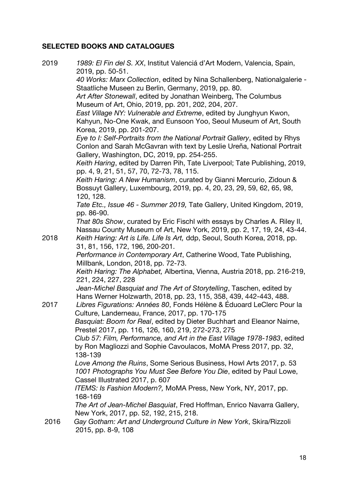# **SELECTED BOOKS AND CATALOGUES**

| 2019 | 1989: El Fin del S. XX, Institut Valenciá d'Art Modern, Valencia, Spain,<br>2019, pp. 50-51.                                                                                                         |
|------|------------------------------------------------------------------------------------------------------------------------------------------------------------------------------------------------------|
|      | 40 Works: Marx Collection, edited by Nina Schallenberg, Nationalgalerie -                                                                                                                            |
|      | Staatliche Museen zu Berlin, Germany, 2019, pp. 80.<br>Art After Stonewall, edited by Jonathan Weinberg, The Columbus                                                                                |
|      | Museum of Art, Ohio, 2019, pp. 201, 202, 204, 207.                                                                                                                                                   |
|      | East Village NY: Vulnerable and Extreme, edited by Junghyun Kwon,                                                                                                                                    |
|      | Kahyun, No-One Kwak, and Eunsoon Yoo, Seoul Museum of Art, South<br>Korea, 2019, pp. 201-207.                                                                                                        |
|      | Eye to I: Self-Portraits from the National Portrait Gallery, edited by Rhys<br>Conlon and Sarah McGavran with text by Leslie Ureña, National Portrait<br>Gallery, Washington, DC, 2019, pp. 254-255. |
|      | Keith Haring, edited by Darren Pih, Tate Liverpool; Tate Publishing, 2019,<br>pp. 4, 9, 21, 51, 57, 70, 72-73, 78, 115.                                                                              |
|      | Keith Haring: A New Humanism, curated by Gianni Mercurio, Zidoun &<br>Bossuyt Gallery, Luxembourg, 2019, pp. 4, 20, 23, 29, 59, 62, 65, 98,                                                          |
|      | 120, 128.                                                                                                                                                                                            |
|      | Tate Etc., Issue 46 - Summer 2019, Tate Gallery, United Kingdom, 2019,<br>pp. 86-90.                                                                                                                 |
|      | That 80s Show, curated by Eric Fischl with essays by Charles A. Riley II,                                                                                                                            |
|      | Nassau County Museum of Art, New York, 2019, pp. 2, 17, 19, 24, 43-44.                                                                                                                               |
| 2018 | Keith Haring: Art is Life. Life Is Art, ddp, Seoul, South Korea, 2018, pp.<br>31, 81, 156, 172, 196, 200-201.                                                                                        |
|      | Performance in Contemporary Art, Catherine Wood, Tate Publishing,<br>Millbank, London, 2018, pp. 72-73.                                                                                              |
|      | Keith Haring: The Alphabet, Albertina, Vienna, Austria 2018, pp. 216-219,<br>221, 224, 227, 228                                                                                                      |
|      | Jean-Michel Basquiat and The Art of Storytelling, Taschen, edited by<br>Hans Werner Holzwarth, 2018, pp. 23, 115, 358, 439, 442-443, 488.                                                            |
| 2017 | Libres Figurations: Années 80, Fonds Hélène & Éduoard LeClerc Pour la<br>Culture, Landerneau, France, 2017, pp. 170-175                                                                              |
|      | Basquiat: Boom for Real, edited by Dieter Buchhart and Eleanor Nairne,<br>Prestel 2017, pp. 116, 126, 160, 219, 272-273, 275                                                                         |
|      | Club 57: Film, Performance, and Art in the East Village 1978-1983, edited                                                                                                                            |
|      | by Ron Magliozzi and Sophie Cavoulacos, MoMA Press 2017, pp. 32,                                                                                                                                     |
|      | 138-139<br>Love Among the Ruins, Some Serious Business, Howl Arts 2017, p. 53                                                                                                                        |
|      | 1001 Photographs You Must See Before You Die, edited by Paul Lowe,<br>Cassel Illustrated 2017, p. 607                                                                                                |
|      | ITEMS: Is Fashion Modern?, MoMA Press, New York, NY, 2017, pp.                                                                                                                                       |
|      | 168-169<br>The Art of Jean-Michel Basquiat, Fred Hoffman, Enrico Navarra Gallery,<br>New York, 2017, pp. 52, 192, 215, 218.                                                                          |
| 2016 | Gay Gotham: Art and Underground Culture in New York, Skira/Rizzoli<br>2015, pp. 8-9, 108                                                                                                             |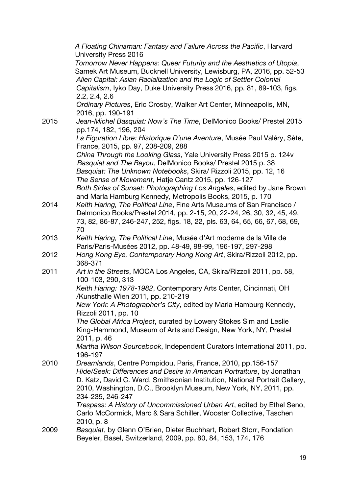|      | A Floating Chinaman: Fantasy and Failure Across the Pacific, Harvard<br>University Press 2016                                       |
|------|-------------------------------------------------------------------------------------------------------------------------------------|
|      | Tomorrow Never Happens: Queer Futurity and the Aesthetics of Utopia,                                                                |
|      | Samek Art Museum, Bucknell University, Lewisburg, PA, 2016, pp. 52-53                                                               |
|      | Alien Capital: Asian Racialization and the Logic of Settler Colonial                                                                |
|      | Capitalism, lyko Day, Duke University Press 2016, pp. 81, 89-103, figs.                                                             |
|      | 2.2, 2.4, 2.6                                                                                                                       |
|      | Ordinary Pictures, Eric Crosby, Walker Art Center, Minneapolis, MN,                                                                 |
|      | 2016, pp. 190-191                                                                                                                   |
| 2015 | Jean-Michel Basquiat: Now's The Time, DelMonico Books/ Prestel 2015<br>pp.174, 182, 196, 204                                        |
|      | La Figuration Libre: Historique D'une Aventure, Musée Paul Valéry, Sète,                                                            |
|      | France, 2015, pp. 97, 208-209, 288                                                                                                  |
|      | China Through the Looking Glass, Yale University Press 2015 p. 124v                                                                 |
|      | Basquiat and The Bayou, DelMonico Books/ Prestel 2015 p. 38                                                                         |
|      | Basquiat: The Unknown Notebooks, Skira/ Rizzoli 2015, pp. 12, 16                                                                    |
|      | The Sense of Movement, Hatje Cantz 2015, pp. 126-127                                                                                |
|      | Both Sides of Sunset: Photographing Los Angeles, edited by Jane Brown                                                               |
|      | and Marla Hamburg Kennedy, Metropolis Books, 2015, p. 170                                                                           |
| 2014 | Keith Haring, The Political Line, Fine Arts Museums of San Francisco /                                                              |
|      | Delmonico Books/Prestel 2014, pp. 2-15, 20, 22-24, 26, 30, 32, 45, 49,                                                              |
|      | 73, 82, 86-87, 246-247, 252, figs. 18, 22, pls. 63, 64, 65, 66, 67, 68, 69,                                                         |
|      | 70                                                                                                                                  |
| 2013 | Keith Haring, The Political Line, Musée d'Art moderne de la Ville de<br>Paris/Paris-Musées 2012, pp. 48-49, 98-99, 196-197, 297-298 |
| 2012 | Hong Kong Eye, Contemporary Hong Kong Art, Skira/Rizzoli 2012, pp.                                                                  |
|      | 368-371                                                                                                                             |
| 2011 | Art in the Streets, MOCA Los Angeles, CA, Skira/Rizzoli 2011, pp. 58,                                                               |
|      | 100-103, 290, 313                                                                                                                   |
|      | Keith Haring: 1978-1982, Contemporary Arts Center, Cincinnati, OH                                                                   |
|      | /Kunsthalle Wien 2011, pp. 210-219                                                                                                  |
|      | New York: A Photographer's City, edited by Marla Hamburg Kennedy,<br>Rizzoli 2011, pp. 10                                           |
|      | The Global Africa Project, curated by Lowery Stokes Sim and Leslie                                                                  |
|      | King-Hammond, Museum of Arts and Design, New York, NY, Prestel                                                                      |
|      | 2011, p. 46                                                                                                                         |
|      | Martha Wilson Sourcebook, Independent Curators International 2011, pp.                                                              |
|      | 196-197                                                                                                                             |
| 2010 | Dreamlands, Centre Pompidou, Paris, France, 2010, pp.156-157                                                                        |
|      | Hide/Seek: Differences and Desire in American Portraiture, by Jonathan                                                              |
|      | D. Katz, David C. Ward, Smithsonian Institution, National Portrait Gallery,                                                         |
|      | 2010, Washington, D.C., Brooklyn Museum, New York, NY, 2011, pp.                                                                    |
|      | 234-235, 246-247<br>Trespass: A History of Uncommissioned Urban Art, edited by Ethel Seno,                                          |
|      | Carlo McCormick, Marc & Sara Schiller, Wooster Collective, Taschen                                                                  |
|      | 2010, p. 8                                                                                                                          |
| 2009 | Basquiat, by Glenn O'Brien, Dieter Buchhart, Robert Storr, Fondation                                                                |
|      | Beyeler, Basel, Switzerland, 2009, pp. 80, 84, 153, 174, 176                                                                        |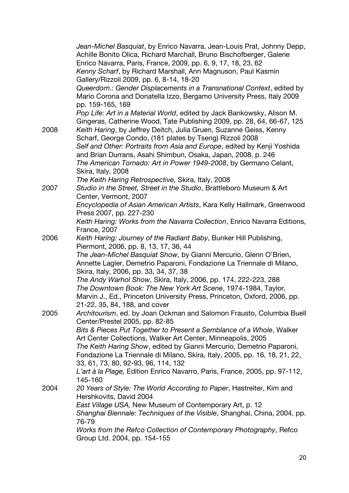|      | Jean-Michel Basquiat, by Enrico Navarra, Jean-Louis Prat, Johnny Depp,<br>Achille Bonito Olica, Richard Marchall, Bruno Bischofberger, Galerie<br>Enrico Navarra, Paris, France, 2009, pp. 6, 9, 17, 18, 23, 62 |
|------|-----------------------------------------------------------------------------------------------------------------------------------------------------------------------------------------------------------------|
|      | Kenny Scharf, by Richard Marshall, Ann Magnuson, Paul Kasmin<br>Gallery/Rizzoli 2009, pp. 6, 8-14, 18-20                                                                                                        |
|      | Queerdom.: Gender Displacements in a Transnational Context, edited by<br>Mario Corona and Donatella Izzo, Bergamo University Press, Italy 2009<br>pp. 159-165, 169                                              |
|      | Pop Life: Art in a Material World, edited by Jack Bankowsky, Alison M.<br>Gingeras, Catherine Wood, Tate Publishing 2009, pp. 28, 64, 66-67, 125                                                                |
| 2008 | Keith Haring, by Jeffrey Deitch, Julia Gruen, Suzanne Geiss, Kenny<br>Scharf, George Condo, (181 plates by Tseng) Rizzoli 2008<br>Self and Other: Portraits from Asia and Europe, edited by Kenji Yoshida       |
|      | and Brian Durrans, Asahi Shimbun, Osaka, Japan, 2008, p. 246<br>The American Tornado: Art in Power 1949-2008, by Germano Celant,                                                                                |
|      | Skira, Italy, 2008<br>The Keith Haring Retrospective, Skira, Italy, 2008                                                                                                                                        |
| 2007 | Studio in the Street, Street in the Studio, Brattleboro Museum & Art<br>Center, Vermont, 2007                                                                                                                   |
|      | Encyclopedia of Asian American Artists, Kara Kelly Hallmark, Greenwood<br>Press 2007, pp. 227-230                                                                                                               |
|      | Keith Haring: Works from the Navarra Collection, Enrico Navarra Editions,<br>France, 2007                                                                                                                       |
| 2006 | Keith Haring: Journey of the Radiant Baby, Bunker Hill Publishing,<br>Piermont, 2006, pp. 8, 13, 17, 36, 44                                                                                                     |
|      | The Jean-Michel Basquiat Show, by Gianni Mercurio, Glenn O'Brien,<br>Annette Lagler, Demetrio Paparoni, Fondazione La Triennale di Milano,<br>Skira, Italy, 2006, pp. 33, 34, 37, 38                            |
|      | The Andy Warhol Show, Skira, Italy, 2006, pp. 174, 222-223, 288<br>The Downtown Book: The New York Art Scene, 1974-1984, Taylor,<br>Marvin J., Ed., Princeton University Press, Princeton, Oxford, 2006, pp.    |
|      | 21-22, 35, 84, 188, and cover                                                                                                                                                                                   |
| 2005 | Architourism, ed. by Joan Ockman and Salomon Frausto, Columbia Buell<br>Center/Prestel 2005, pp. 82-85                                                                                                          |
|      | Bits & Pieces Put Together to Present a Semblance of a Whole, Walker<br>Art Center Collections, Walker Art Center, Minneapolis, 2005                                                                            |
|      | The Keith Haring Show, edited by Gianni Mercurio, Demetrio Paparoni,<br>Fondazione La Triennale di Milano, Skira, Italy, 2005, pp. 16, 18, 21, 22,<br>33, 61, 73, 80, 92-93, 96, 114, 132                       |
|      | L'art à la Plage, Edition Enrico Navarro, Paris, France, 2005, pp. 97-112,<br>145-160                                                                                                                           |
| 2004 | 20 Years of Style: The World According to Paper, Hastreiter, Kim and<br>Hershkovits, David 2004                                                                                                                 |
|      | East Village USA, New Museum of Contemporary Art, p. 12                                                                                                                                                         |
|      | Shanghai Biennale: Techniques of the Visible, Shanghai, China, 2004, pp.<br>76-79                                                                                                                               |
|      | Works from the Refco Collection of Contemporary Photography, Refco<br>Group Ltd. 2004, pp. 154-155                                                                                                              |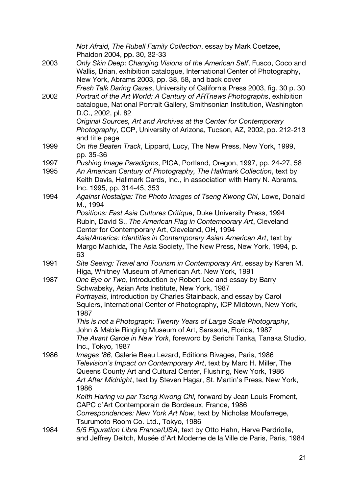|      | Not Afraid, The Rubell Family Collection, essay by Mark Coetzee,            |
|------|-----------------------------------------------------------------------------|
|      | Phaidon 2004, pp. 30, 32-33                                                 |
| 2003 | Only Skin Deep: Changing Visions of the American Self, Fusco, Coco and      |
|      | Wallis, Brian, exhibition catalogue, International Center of Photography,   |
|      | New York, Abrams 2003, pp. 38, 58, and back cover                           |
|      | Fresh Talk Daring Gazes, University of California Press 2003, fig. 30 p. 30 |
| 2002 | Portrait of the Art World: A Century of ARTnews Photographs, exhibition     |
|      | catalogue, National Portrait Gallery, Smithsonian Institution, Washington   |
|      | D.C., 2002, pl. 82                                                          |
|      | Original Sources, Art and Archives at the Center for Contemporary           |
|      | Photography, CCP, University of Arizona, Tucson, AZ, 2002, pp. 212-213      |
|      | and title page                                                              |
| 1999 | On the Beaten Track, Lippard, Lucy, The New Press, New York, 1999,          |
|      | pp. 35-36                                                                   |
| 1997 | Pushing Image Paradigms, PICA, Portland, Oregon, 1997, pp. 24-27, 58        |
| 1995 | An American Century of Photography, The Hallmark Collection, text by        |
|      | Keith Davis, Hallmark Cards, Inc., in association with Harry N. Abrams,     |
|      | Inc. 1995, pp. 314-45, 353                                                  |
| 1994 | Against Nostalgia: The Photo Images of Tseng Kwong Chi, Lowe, Donald        |
|      | M., 1994                                                                    |
|      | Positions: East Asia Cultures Critique, Duke University Press, 1994         |
|      | Rubin, David S., The American Flag in Contemporary Art, Cleveland           |
|      | Center for Contemporary Art, Cleveland, OH, 1994                            |
|      | Asia/America: Identities in Contemporary Asian American Art, text by        |
|      | Margo Machida, The Asia Society, The New Press, New York, 1994, p.          |
|      | 63                                                                          |
| 1991 | Site Seeing: Travel and Tourism in Contemporary Art, essay by Karen M.      |
|      | Higa, Whitney Museum of American Art, New York, 1991                        |
| 1987 | One Eye or Two, introduction by Robert Lee and essay by Barry               |
|      | Schwabsky, Asian Arts Institute, New York, 1987                             |
|      | Portrayals, introduction by Charles Stainback, and essay by Carol           |
|      | Squiers, International Center of Photography, ICP Midtown, New York,        |
|      | 1987                                                                        |
|      | This is not a Photograph: Twenty Years of Large Scale Photography,          |
|      | John & Mable Ringling Museum of Art, Sarasota, Florida, 1987                |
|      | The Avant Garde in New York, foreword by Serichi Tanka, Tanaka Studio,      |
|      | Inc., Tokyo, 1987                                                           |
| 1986 | Images '86, Galerie Beau Lezard, Editions Rivages, Paris, 1986              |
|      | Television's Impact on Contemporary Art, text by Marc H. Miller, The        |
|      | Queens County Art and Cultural Center, Flushing, New York, 1986             |
|      | Art After Midnight, text by Steven Hagar, St. Martin's Press, New York,     |
|      | 1986                                                                        |
|      |                                                                             |
|      | Keith Haring vu par Tseng Kwong Chi, forward by Jean Louis Froment,         |
|      | CAPC d'Art Contemporain de Bordeaux, France, 1986                           |
|      | Correspondences: New York Art Now, text by Nicholas Moufarrege,             |
|      | Tsurumoto Room Co. Ltd., Tokyo, 1986                                        |
| 1984 | 5/5 Figuration Libre France/USA, text by Otto Hahn, Herve Perdriolle,       |
|      | and Jeffrey Deitch, Musée d'Art Moderne de la Ville de Paris, Paris, 1984   |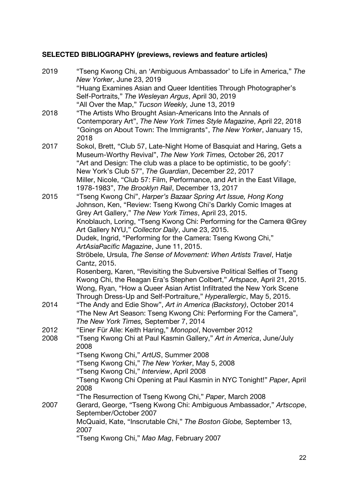# **SELECTED BIBLIOGRAPHY (previews, reviews and feature articles)**

| 2019 | "Tseng Kwong Chi, an 'Ambiguous Ambassador' to Life in America," The<br>New Yorker, June 23, 2019                                                                            |
|------|------------------------------------------------------------------------------------------------------------------------------------------------------------------------------|
|      | "Huang Examines Asian and Queer Identities Through Photographer's<br>Self-Portraits," The Wesleyan Argus, April 30, 2019<br>"All Over the Map," Tucson Weekly, June 13, 2019 |
| 2018 | "The Artists Who Brought Asian-Americans Into the Annals of                                                                                                                  |
|      | Contemporary Art", The New York Times Style Magazine, April 22, 2018<br>"Goings on About Town: The Immigrants", The New Yorker, January 15,<br>2018                          |
| 2017 | Sokol, Brett, "Club 57, Late-Night Home of Basquiat and Haring, Gets a                                                                                                       |
|      | Museum-Worthy Revival", The New York Times, October 26, 2017<br>"Art and Design: The club was a place to be optimistic, to be goofy':                                        |
|      | New York's Club 57", The Guardian, December 22, 2017                                                                                                                         |
|      | Miller, Nicole, "Club 57: Film, Performance, and Art in the East Village,<br>1978-1983", The Brooklyn Rail, December 13, 2017                                                |
| 2015 | "Tseng Kwong Chi", Harper's Bazaar Spring Art Issue, Hong Kong<br>Johnson, Ken, "Review: Tseng Kwong Chi's Darkly Comic Images at                                            |
|      | Grey Art Gallery," The New York Times, April 23, 2015.                                                                                                                       |
|      | Knoblauch, Loring, "Tseng Kwong Chi: Performing for the Camera @Grey<br>Art Gallery NYU," Collector Daily, June 23, 2015.                                                    |
|      | Dudek, Ingrid, "Performing for the Camera: Tseng Kwong Chi,"<br>ArtAsiaPacific Magazine, June 11, 2015.                                                                      |
|      | Ströbele, Ursula, The Sense of Movement: When Artists Travel, Hatje                                                                                                          |
|      | Cantz, 2015.<br>Rosenberg, Karen, "Revisiting the Subversive Political Selfies of Tseng                                                                                      |
|      | Kwong Chi, the Reagan Era's Stephen Colbert," Artspace, April 21, 2015.<br>Wong, Ryan, "How a Queer Asian Artist Infiltrated the New York Scene                              |
|      | Through Dress-Up and Self-Portraiture," Hyperallergic, May 5, 2015.                                                                                                          |
| 2014 | "The Andy and Edie Show", Art in America (Backstory), October 2014<br>"The New Art Season: Tseng Kwong Chi: Performing For the Camera",                                      |
| 2012 | The New York Times, September 7, 2014<br>"Einer Für Alle: Keith Haring," Monopol, November 2012                                                                              |
| 2008 | "Tseng Kwong Chi at Paul Kasmin Gallery," Art in America, June/July<br>2008                                                                                                  |
|      | "Tseng Kwong Chi," ArtUS, Summer 2008                                                                                                                                        |
|      | "Tseng Kwong Chi," The New Yorker, May 5, 2008                                                                                                                               |
|      | "Tseng Kwong Chi," Interview, April 2008                                                                                                                                     |
|      | "Tseng Kwong Chi Opening at Paul Kasmin in NYC Tonight!" Paper, April<br>2008                                                                                                |
|      | "The Resurrection of Tseng Kwong Chi," Paper, March 2008                                                                                                                     |
| 2007 | Gerard, George, "Tseng Kwong Chi: Ambiguous Ambassador," Artscope,<br>September/October 2007                                                                                 |
|      | McQuaid, Kate, "Inscrutable Chi," The Boston Globe, September 13,<br>2007                                                                                                    |
|      | "Tseng Kwong Chi," Mao Mag, February 2007                                                                                                                                    |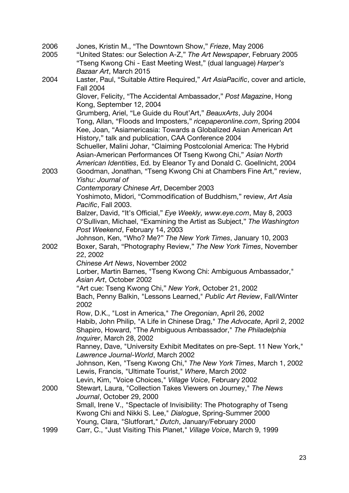| 2006 | Jones, Kristin M., "The Downtown Show," Frieze, May 2006                      |
|------|-------------------------------------------------------------------------------|
| 2005 | "United States: our Selection A-Z," The Art Newspaper, February 2005          |
|      | "Tseng Kwong Chi - East Meeting West," (dual language) Harper's               |
|      | Bazaar Art, March 2015                                                        |
| 2004 | Laster, Paul, "Suitable Attire Required," Art AsiaPacific, cover and article, |
|      | <b>Fall 2004</b>                                                              |
|      | Glover, Felicity, "The Accidental Ambassador," Post Magazine, Hong            |
|      | Kong, September 12, 2004                                                      |
|      | Grumberg, Ariel, "Le Guide du Rout'Art," BeauxArts, July 2004                 |
|      | Tong, Allan, "Floods and Imposters," ricepaperonline.com, Spring 2004         |
|      | Kee, Joan, "Asiamericasia: Towards a Globalized Asian American Art            |
|      | History," talk and publication, CAA Conference 2004                           |
|      | Schueller, Malini Johar, "Claiming Postcolonial America: The Hybrid           |
|      | Asian-American Performances Of Tseng Kwong Chi," Asian North                  |
|      | American Identities, Ed. by Eleanor Ty and Donald C. Goellnicht, 2004         |
| 2003 | Goodman, Jonathan, "Tseng Kwong Chi at Chambers Fine Art," review,            |
|      | Yishu: Journal of                                                             |
|      | Contemporary Chinese Art, December 2003                                       |
|      | Yoshimoto, Midori, "Commodification of Buddhism," review, Art Asia            |
|      | Pacific, Fall 2003.                                                           |
|      | Balzer, David, "It's Official," Eye Weekly, www.eye.com, May 8, 2003          |
|      | O'Sullivan, Michael, "Examining the Artist as Subject," The Washington        |
|      | Post Weekend, February 14, 2003                                               |
|      | Johnson, Ken, "Who? Me?" The New York Times, January 10, 2003                 |
| 2002 | Boxer, Sarah, "Photography Review," The New York Times, November              |
|      | 22, 2002                                                                      |
|      | Chinese Art News, November 2002                                               |
|      | Lorber, Martin Barnes, "Tseng Kwong Chi: Ambiguous Ambassador,"               |
|      | Asian Art, October 2002                                                       |
|      | "Art cue: Tseng Kwong Chi," New York, October 21, 2002                        |
|      | Bach, Penny Balkin, "Lessons Learned," Public Art Review, Fall/Winter<br>2002 |
|      | Row, D.K., "Lost in America," The Oregonian, April 26, 2002                   |
|      | Habib, John Philip, "A Life in Chinese Drag," The Advocate, April 2, 2002     |
|      | Shapiro, Howard, "The Ambiguous Ambassador," The Philadelphia                 |
|      | Inquirer, March 28, 2002                                                      |
|      | Ranney, Dave, "University Exhibit Meditates on pre-Sept. 11 New York,"        |
|      | Lawrence Journal-World, March 2002                                            |
|      | Johnson, Ken, "Tseng Kwong Chi," The New York Times, March 1, 2002            |
|      | Lewis, Francis, "Ultimate Tourist," Where, March 2002                         |
|      | Levin, Kim, "Voice Choices," Village Voice, February 2002                     |
| 2000 | Stewart, Laura, "Collection Takes Viewers on Journey," The News               |
|      | Journal, October 29, 2000                                                     |
|      | Small, Irene V., "Spectacle of Invisibility: The Photography of Tseng         |
|      | Kwong Chi and Nikki S. Lee," Dialogue, Spring-Summer 2000                     |
|      | Young, Clara, "Slutforart," Dutch, January/February 2000                      |
| 1999 | Carr, C., "Just Visiting This Planet," Village Voice, March 9, 1999           |
|      |                                                                               |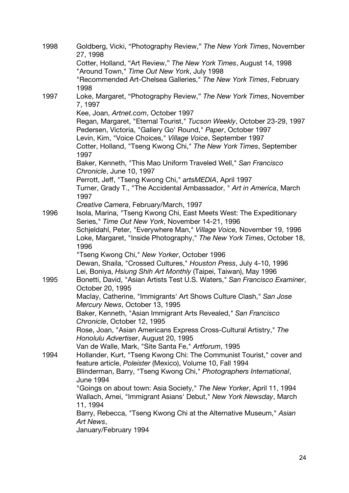| 1998 | Goldberg, Vicki, "Photography Review," The New York Times, November<br>27, 1998                                                                                                                                                                                                                                            |
|------|----------------------------------------------------------------------------------------------------------------------------------------------------------------------------------------------------------------------------------------------------------------------------------------------------------------------------|
|      | Cotter, Holland, "Art Review," The New York Times, August 14, 1998<br>"Around Town," Time Out New York, July 1998                                                                                                                                                                                                          |
|      | "Recommended Art-Chelsea Galleries," The New York Times, February<br>1998                                                                                                                                                                                                                                                  |
| 1997 | Loke, Margaret, "Photography Review," The New York Times, November<br>7, 1997                                                                                                                                                                                                                                              |
|      | Kee, Joan, Artnet.com, October 1997<br>Regan, Margaret, "Eternal Tourist," Tucson Weekly, October 23-29, 1997<br>Pedersen, Victoria, "Gallery Go' Round," Paper, October 1997<br>Levin, Kim, "Voice Choices," Village Voice, September 1997<br>Cotter, Holland, "Tseng Kwong Chi," The New York Times, September<br>1997   |
|      | Baker, Kenneth, "This Mao Uniform Traveled Well," San Francisco<br>Chronicle, June 10, 1997                                                                                                                                                                                                                                |
|      | Perrott, Jeff, "Tseng Kwong Chi," artsMEDIA, April 1997<br>Turner, Grady T., "The Accidental Ambassador, " Art in America, March<br>1997                                                                                                                                                                                   |
| 1996 | Creative Camera, February/March, 1997<br>Isola, Marina, "Tseng Kwong Chi, East Meets West: The Expeditionary<br>Series," Time Out New York, November 14-21, 1996<br>Schjeldahl, Peter, "Everywhere Man," Village Voice, November 19, 1996<br>Loke, Margaret, "Inside Photography," The New York Times, October 18,<br>1996 |
| 1995 | "Tseng Kwong Chi," New Yorker, October 1996<br>Dewan, Shaila, "Crossed Cultures," Houston Press, July 4-10, 1996<br>Lei, Boniya, Hsiung Shih Art Monthly (Taipei, Taiwan), May 1996<br>Bonetti, David, "Asian Artists Test U.S. Waters," San Francisco Examiner,                                                           |
|      | October 20, 1995<br>Maclay, Catherine, "Immigrants' Art Shows Culture Clash," San Jose<br><i>Mercury News, October 13, 1995</i>                                                                                                                                                                                            |
|      | Baker, Kenneth, "Asian Immigrant Arts Revealed," San Francisco<br>Chronicle, October 12, 1995<br>Rose, Joan, "Asian Americans Express Cross-Cultural Artistry," The<br>Honolulu Advertiser, August 20, 1995                                                                                                                |
| 1994 | Van de Walle, Mark, "Site Santa Fe," Artforum, 1995<br>Hollander, Kurt, "Tseng Kwong Chi: The Communist Tourist," cover and<br>feature article, Poleister (Mexico), Volume 10, Fall 1994<br>Blinderman, Barry, "Tseng Kwong Chi," Photographers International,<br><b>June 1994</b>                                         |
|      | "Goings on about town: Asia Society," The New Yorker, April 11, 1994<br>Wallach, Amei, "Immigrant Asians' Debut," New York Newsday, March<br>11, 1994                                                                                                                                                                      |
|      | Barry, Rebecca, "Tseng Kwong Chi at the Alternative Museum," Asian<br>Art News,<br>January/February 1994                                                                                                                                                                                                                   |
|      |                                                                                                                                                                                                                                                                                                                            |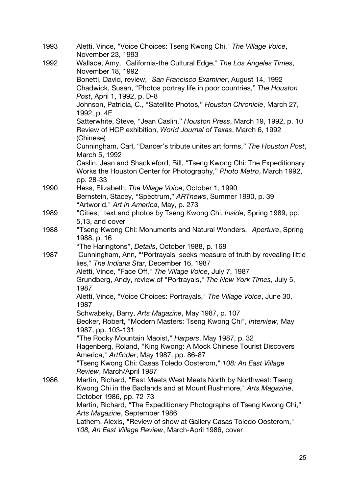| 1993 | Aletti, Vince, "Voice Choices: Tseng Kwong Chi," The Village Voice,<br>November 23, 1993                                                                                                                                                                                                                         |
|------|------------------------------------------------------------------------------------------------------------------------------------------------------------------------------------------------------------------------------------------------------------------------------------------------------------------|
| 1992 | Wallace, Amy, "California-the Cultural Edge," The Los Angeles Times,<br>November 18, 1992                                                                                                                                                                                                                        |
|      | Bonetti, David, review, "San Francisco Examiner, August 14, 1992<br>Chadwick, Susan, "Photos portray life in poor countries," The Houston<br>Post, April 1, 1992, p. D-8                                                                                                                                         |
|      | Johnson, Patricia, C., "Satellite Photos," Houston Chronicle, March 27,<br>1992, p. 4E                                                                                                                                                                                                                           |
|      | Satterwhite, Steve, "Jean Caslin," Houston Press, March 19, 1992, p. 10<br>Review of HCP exhibition, World Journal of Texas, March 6, 1992<br>(Chinese)                                                                                                                                                          |
|      | Cunningham, Carl, "Dancer's tribute unites art forms," The Houston Post,<br>March 5, 1992                                                                                                                                                                                                                        |
|      | Caslin, Jean and Shackleford, Bill, "Tseng Kwong Chi: The Expeditionary<br>Works the Houston Center for Photography," Photo Metro, March 1992,<br>pp. 28-33                                                                                                                                                      |
| 1990 | Hess, Elizabeth, The Village Voice, October 1, 1990<br>Bernstein, Stacey, "Spectrum," ARTnews, Summer 1990, p. 39<br>"Artworld," Art in America, May, p. 273                                                                                                                                                     |
| 1989 | "Cities," text and photos by Tseng Kwong Chi, Inside, Spring 1989, pp.<br>5,13, and cover                                                                                                                                                                                                                        |
| 1988 | "Tseng Kwong Chi: Monuments and Natural Wonders," Aperture, Spring<br>1988, p. 16                                                                                                                                                                                                                                |
| 1987 | "The Haringtons", Details, October 1988, p. 168<br>Cunningham, Ann, "'Portrayals' seeks measure of truth by revealing little<br>lies," The Indiana Star, December 16, 1987<br>Aletti, Vince, "Face Off," The Village Voice, July 7, 1987<br>Grundberg, Andy, review of "Portrayals," The New York Times, July 5, |
|      | 1987<br>Aletti, Vince, "Voice Choices: Portrayals," The Village Voice, June 30,                                                                                                                                                                                                                                  |
|      | 1987<br>Schwabsky, Barry, Arts Magazine, May 1987, p. 107<br>Becker, Robert, "Modern Masters: Tseng Kwong Chi", Interview, May<br>1987, pp. 103-131                                                                                                                                                              |
|      | "The Rocky Mountain Maoist," Harpers, May 1987, p. 32<br>Hagenberg, Roland, "King Kwong: A Mock Chinese Tourist Discovers<br>America," Artfinder, May 1987, pp. 86-87                                                                                                                                            |
|      | "Tseng Kwong Chi: Casas Toledo Oosterom," 108: An East Village<br>Review, March/April 1987                                                                                                                                                                                                                       |
| 1986 | Martin, Richard, "East Meets West Meets North by Northwest: Tseng<br>Kwong Chi in the Badlands and at Mount Rushmore," Arts Magazine,<br>October 1986, pp. 72-73                                                                                                                                                 |
|      | Martin, Richard, "The Expeditionary Photographs of Tseng Kwong Chi,"<br>Arts Magazine, September 1986                                                                                                                                                                                                            |
|      | Lathem, Alexis, "Review of show at Gallery Casas Toledo Oosterom,"<br>108, An East Village Review, March-April 1986, cover                                                                                                                                                                                       |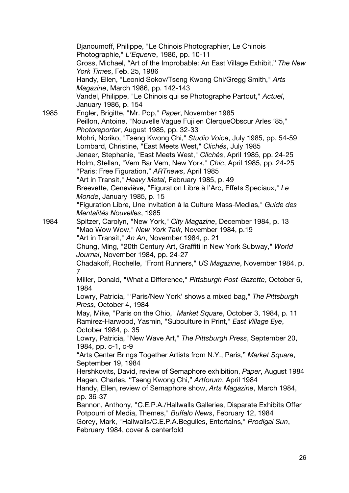Djanoumoff, Philippe, "Le Chinois Photographier, Le Chinois Photographie," *L'Equerre*, 1986, pp. 10-11 Gross, Michael, "Art of the Improbable: An East Village Exhibit," *The New York Times*, Feb. 25, 1986 Handy, Ellen, "Leonid Sokov/Tseng Kwong Chi/Gregg Smith," *Arts Magazine*, March 1986, pp. 142-143 Vandel, Philippe, "Le Chinois qui se Photographe Partout," *Actuel*, January 1986, p. 154 1985 Engler, Brigitte, "Mr. Pop," *Paper*, November 1985 Peillon, Antoine, "Nouvelle Vague Fuji en ClerqueObscur Arles '85," *Photoreporter*, August 1985, pp. 32-33 Mohri, Noriko, "Tseng Kwong Chi," *Studio Voice*, July 1985, pp. 54-59 Lombard, Christine, "East Meets West," *Clichés*, July 1985 Jenaer, Stephanie, "East Meets West," *Clichés*, April 1985, pp. 24-25 Holm, Stellan, "Vem Bar Vem, New York," *Chic*, April 1985, pp. 24-25 "Paris: Free Figuration," *ARTnews*, April 1985 "Art in Transit," *Heavy Metal*, February 1985, p. 49 Breevette, Geneviève, "Figuration Libre à l'Arc, Effets Speciaux," *Le Monde*, January 1985, p. 15 "Figuration Libre, Une Invitation à la Culture Mass-Medias," *Guide des Mentalités Nouvelles*, 1985 1984 Spitzer, Carolyn, "New York," *City Magazine*, December 1984, p. 13 "Mao Wow Wow," *New York Talk*, November 1984, p.19 "Art in Transit," *An An*, November 1984, p. 21 Chung, Ming, "20th Century Art, Graffiti in New York Subway," *World Journal*, November 1984, pp. 24-27 Chadakoff, Rochelle, "Front Runners," *US Magazine*, November 1984, p. 7 Miller, Donald, "What a Difference," *Pittsburgh Post-Gazette*, October 6, 1984 Lowry, Patricia, "'Paris/New York' shows a mixed bag," *The Pittsburgh Press*, October 4, 1984 May, Mike, "Paris on the Ohio," *Market Square*, October 3, 1984, p. 11 Ramirez-Harwood, Yasmin, "Subculture in Print," *East Village Eye*, October 1984, p. 35 Lowry, Patricia, "New Wave Art," *The Pittsburgh Press*, September 20, 1984, pp. c-1, c-9 "Arts Center Brings Together Artists from N.Y., Paris," *Market Square*, September 19, 1984 Hershkovits, David, review of Semaphore exhibition, *Paper*, August 1984 Hagen, Charles, "Tseng Kwong Chi," *Artforum*, April 1984 Handy, Ellen, review of Semaphore show, *Arts Magazine*, March 1984, pp. 36-37 Bannon, Anthony, "C.E.P.A./Hallwalls Galleries, Disparate Exhibits Offer Potpourri of Media, Themes," *Buffalo News*, February 12, 1984 Gorey, Mark, "Hallwalls/C.E.P.A.Beguiles, Entertains," *Prodigal Sun*, February 1984, cover & centerfold